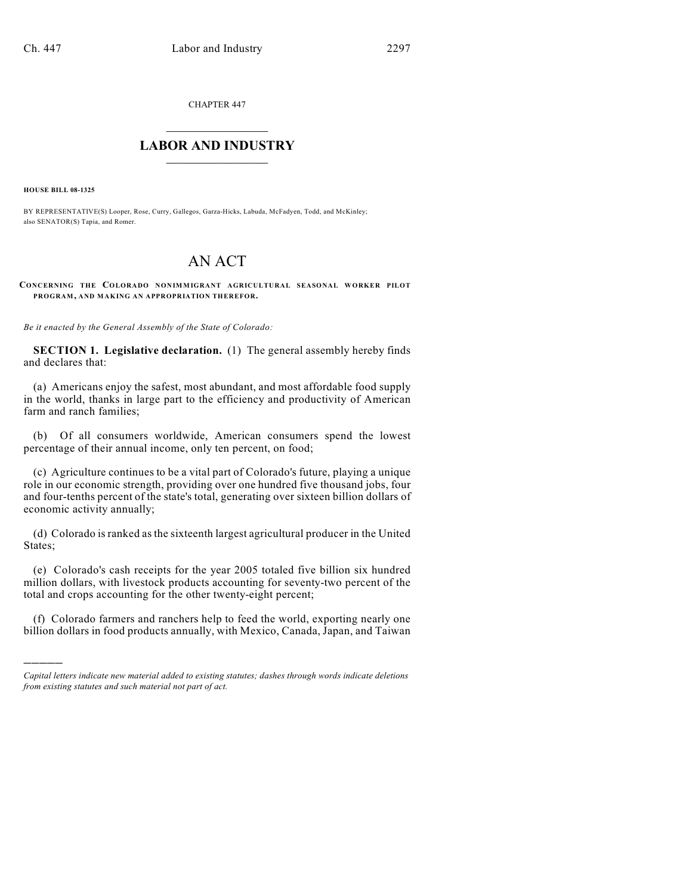CHAPTER 447

## $\overline{\phantom{a}}$  . The set of the set of the set of the set of the set of the set of the set of the set of the set of the set of the set of the set of the set of the set of the set of the set of the set of the set of the set o **LABOR AND INDUSTRY**  $\frac{1}{\sqrt{2}}$  ,  $\frac{1}{\sqrt{2}}$  ,  $\frac{1}{\sqrt{2}}$  ,  $\frac{1}{\sqrt{2}}$  ,  $\frac{1}{\sqrt{2}}$  ,  $\frac{1}{\sqrt{2}}$

**HOUSE BILL 08-1325**

)))))

BY REPRESENTATIVE(S) Looper, Rose, Curry, Gallegos, Garza-Hicks, Labuda, McFadyen, Todd, and McKinley; also SENATOR(S) Tapia, and Romer.

# AN ACT

**CONCERNING THE COLORADO NONIMMIGRANT AGRICULTURAL SEASONAL WORKER PILOT PROGRAM, AND MAKING AN APPROPRIATION THEREFOR.**

*Be it enacted by the General Assembly of the State of Colorado:*

**SECTION 1. Legislative declaration.** (1) The general assembly hereby finds and declares that:

(a) Americans enjoy the safest, most abundant, and most affordable food supply in the world, thanks in large part to the efficiency and productivity of American farm and ranch families;

(b) Of all consumers worldwide, American consumers spend the lowest percentage of their annual income, only ten percent, on food;

(c) Agriculture continues to be a vital part of Colorado's future, playing a unique role in our economic strength, providing over one hundred five thousand jobs, four and four-tenths percent of the state's total, generating over sixteen billion dollars of economic activity annually;

(d) Colorado is ranked as the sixteenth largest agricultural producer in the United States;

(e) Colorado's cash receipts for the year 2005 totaled five billion six hundred million dollars, with livestock products accounting for seventy-two percent of the total and crops accounting for the other twenty-eight percent;

(f) Colorado farmers and ranchers help to feed the world, exporting nearly one billion dollars in food products annually, with Mexico, Canada, Japan, and Taiwan

*Capital letters indicate new material added to existing statutes; dashes through words indicate deletions from existing statutes and such material not part of act.*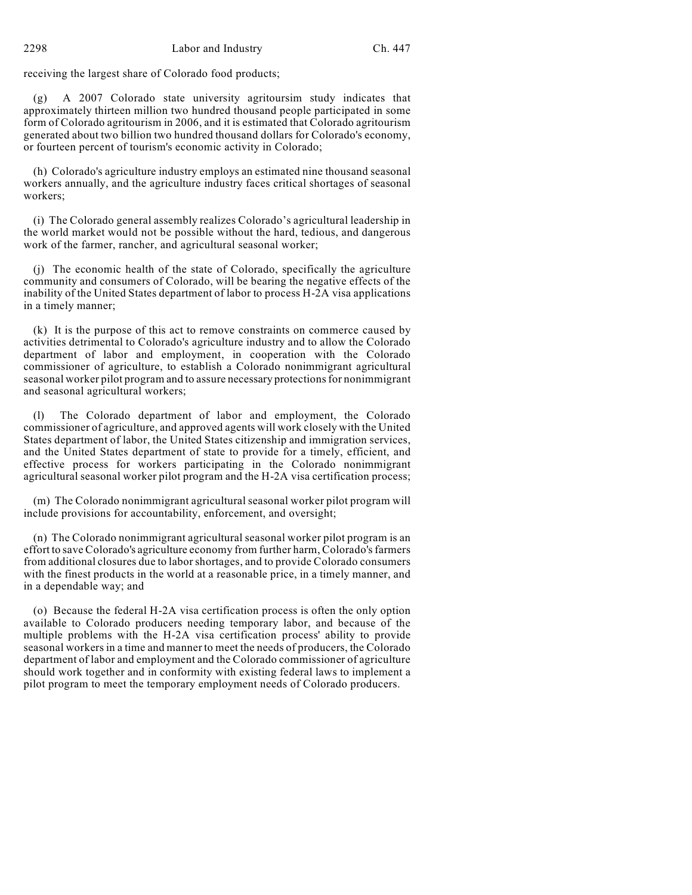receiving the largest share of Colorado food products;

(g) A 2007 Colorado state university agritoursim study indicates that approximately thirteen million two hundred thousand people participated in some form of Colorado agritourism in 2006, and it is estimated that Colorado agritourism generated about two billion two hundred thousand dollars for Colorado's economy, or fourteen percent of tourism's economic activity in Colorado;

(h) Colorado's agriculture industry employs an estimated nine thousand seasonal workers annually, and the agriculture industry faces critical shortages of seasonal workers;

(i) The Colorado general assembly realizes Colorado's agricultural leadership in the world market would not be possible without the hard, tedious, and dangerous work of the farmer, rancher, and agricultural seasonal worker;

(j) The economic health of the state of Colorado, specifically the agriculture community and consumers of Colorado, will be bearing the negative effects of the inability of the United States department of labor to process H-2A visa applications in a timely manner;

(k) It is the purpose of this act to remove constraints on commerce caused by activities detrimental to Colorado's agriculture industry and to allow the Colorado department of labor and employment, in cooperation with the Colorado commissioner of agriculture, to establish a Colorado nonimmigrant agricultural seasonal worker pilot program and to assure necessary protections for nonimmigrant and seasonal agricultural workers;

(l) The Colorado department of labor and employment, the Colorado commissioner of agriculture, and approved agents will work closely with the United States department of labor, the United States citizenship and immigration services, and the United States department of state to provide for a timely, efficient, and effective process for workers participating in the Colorado nonimmigrant agricultural seasonal worker pilot program and the H-2A visa certification process;

(m) The Colorado nonimmigrant agricultural seasonal worker pilot program will include provisions for accountability, enforcement, and oversight;

(n) The Colorado nonimmigrant agricultural seasonal worker pilot program is an effort to save Colorado's agriculture economy from further harm, Colorado's farmers from additional closures due to labor shortages, and to provide Colorado consumers with the finest products in the world at a reasonable price, in a timely manner, and in a dependable way; and

(o) Because the federal H-2A visa certification process is often the only option available to Colorado producers needing temporary labor, and because of the multiple problems with the H-2A visa certification process' ability to provide seasonal workers in a time and manner to meet the needs of producers, the Colorado department of labor and employment and the Colorado commissioner of agriculture should work together and in conformity with existing federal laws to implement a pilot program to meet the temporary employment needs of Colorado producers.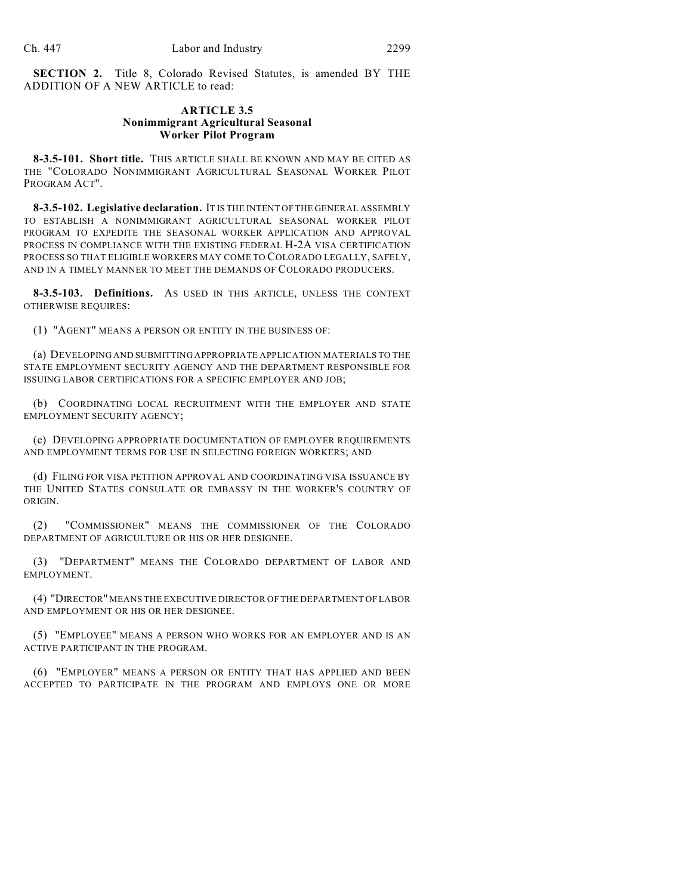**SECTION 2.** Title 8, Colorado Revised Statutes, is amended BY THE ADDITION OF A NEW ARTICLE to read:

## **ARTICLE 3.5 Nonimmigrant Agricultural Seasonal Worker Pilot Program**

**8-3.5-101. Short title.** THIS ARTICLE SHALL BE KNOWN AND MAY BE CITED AS THE "COLORADO NONIMMIGRANT AGRICULTURAL SEASONAL WORKER PILOT PROGRAM ACT".

**8-3.5-102. Legislative declaration.** IT IS THE INTENT OF THE GENERAL ASSEMBLY TO ESTABLISH A NONIMMIGRANT AGRICULTURAL SEASONAL WORKER PILOT PROGRAM TO EXPEDITE THE SEASONAL WORKER APPLICATION AND APPROVAL PROCESS IN COMPLIANCE WITH THE EXISTING FEDERAL H-2A VISA CERTIFICATION PROCESS SO THAT ELIGIBLE WORKERS MAY COME TO COLORADO LEGALLY, SAFELY, AND IN A TIMELY MANNER TO MEET THE DEMANDS OF COLORADO PRODUCERS.

**8-3.5-103. Definitions.** AS USED IN THIS ARTICLE, UNLESS THE CONTEXT OTHERWISE REQUIRES:

(1) "AGENT" MEANS A PERSON OR ENTITY IN THE BUSINESS OF:

(a) DEVELOPING AND SUBMITTING APPROPRIATE APPLICATION MATERIALS TO THE STATE EMPLOYMENT SECURITY AGENCY AND THE DEPARTMENT RESPONSIBLE FOR ISSUING LABOR CERTIFICATIONS FOR A SPECIFIC EMPLOYER AND JOB;

(b) COORDINATING LOCAL RECRUITMENT WITH THE EMPLOYER AND STATE EMPLOYMENT SECURITY AGENCY;

(c) DEVELOPING APPROPRIATE DOCUMENTATION OF EMPLOYER REQUIREMENTS AND EMPLOYMENT TERMS FOR USE IN SELECTING FOREIGN WORKERS; AND

(d) FILING FOR VISA PETITION APPROVAL AND COORDINATING VISA ISSUANCE BY THE UNITED STATES CONSULATE OR EMBASSY IN THE WORKER'S COUNTRY OF ORIGIN.

(2) "COMMISSIONER" MEANS THE COMMISSIONER OF THE COLORADO DEPARTMENT OF AGRICULTURE OR HIS OR HER DESIGNEE.

(3) "DEPARTMENT" MEANS THE COLORADO DEPARTMENT OF LABOR AND EMPLOYMENT.

(4) "DIRECTOR" MEANS THE EXECUTIVE DIRECTOR OF THE DEPARTMENT OF LABOR AND EMPLOYMENT OR HIS OR HER DESIGNEE.

(5) "EMPLOYEE" MEANS A PERSON WHO WORKS FOR AN EMPLOYER AND IS AN ACTIVE PARTICIPANT IN THE PROGRAM.

(6) "EMPLOYER" MEANS A PERSON OR ENTITY THAT HAS APPLIED AND BEEN ACCEPTED TO PARTICIPATE IN THE PROGRAM AND EMPLOYS ONE OR MORE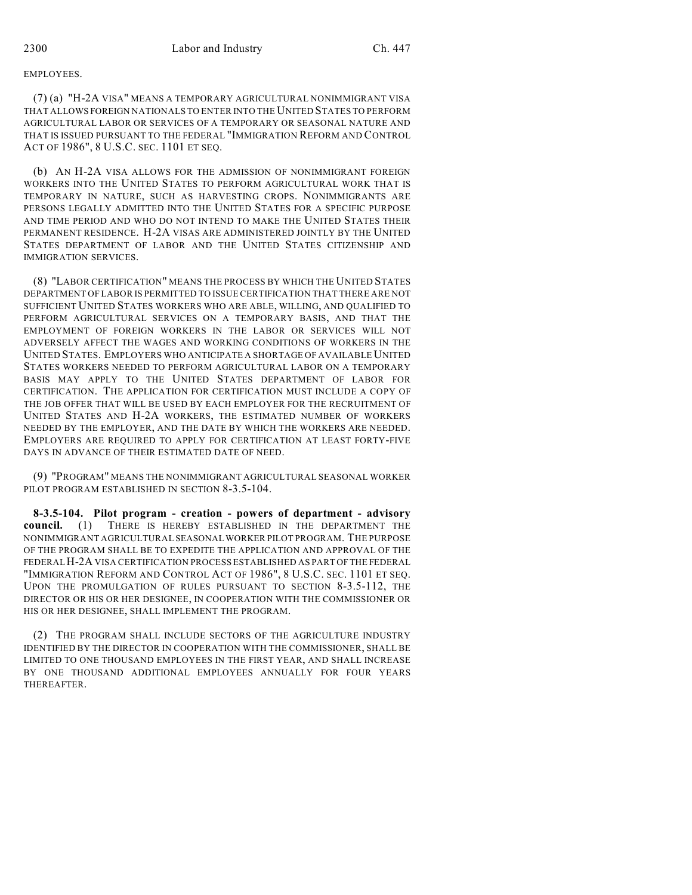### EMPLOYEES.

(7) (a) "H-2A VISA" MEANS A TEMPORARY AGRICULTURAL NONIMMIGRANT VISA THAT ALLOWS FOREIGN NATIONALS TO ENTER INTO THE UNITED STATES TO PERFORM AGRICULTURAL LABOR OR SERVICES OF A TEMPORARY OR SEASONAL NATURE AND THAT IS ISSUED PURSUANT TO THE FEDERAL "IMMIGRATION REFORM AND CONTROL ACT OF 1986", 8 U.S.C. SEC. 1101 ET SEQ.

(b) AN H-2A VISA ALLOWS FOR THE ADMISSION OF NONIMMIGRANT FOREIGN WORKERS INTO THE UNITED STATES TO PERFORM AGRICULTURAL WORK THAT IS TEMPORARY IN NATURE, SUCH AS HARVESTING CROPS. NONIMMIGRANTS ARE PERSONS LEGALLY ADMITTED INTO THE UNITED STATES FOR A SPECIFIC PURPOSE AND TIME PERIOD AND WHO DO NOT INTEND TO MAKE THE UNITED STATES THEIR PERMANENT RESIDENCE. H-2A VISAS ARE ADMINISTERED JOINTLY BY THE UNITED STATES DEPARTMENT OF LABOR AND THE UNITED STATES CITIZENSHIP AND IMMIGRATION SERVICES.

(8) "LABOR CERTIFICATION" MEANS THE PROCESS BY WHICH THE UNITED STATES DEPARTMENT OF LABOR IS PERMITTED TO ISSUE CERTIFICATION THAT THERE ARE NOT SUFFICIENT UNITED STATES WORKERS WHO ARE ABLE, WILLING, AND QUALIFIED TO PERFORM AGRICULTURAL SERVICES ON A TEMPORARY BASIS, AND THAT THE EMPLOYMENT OF FOREIGN WORKERS IN THE LABOR OR SERVICES WILL NOT ADVERSELY AFFECT THE WAGES AND WORKING CONDITIONS OF WORKERS IN THE UNITED STATES. EMPLOYERS WHO ANTICIPATE A SHORTAGE OF AVAILABLE UNITED STATES WORKERS NEEDED TO PERFORM AGRICULTURAL LABOR ON A TEMPORARY BASIS MAY APPLY TO THE UNITED STATES DEPARTMENT OF LABOR FOR CERTIFICATION. THE APPLICATION FOR CERTIFICATION MUST INCLUDE A COPY OF THE JOB OFFER THAT WILL BE USED BY EACH EMPLOYER FOR THE RECRUITMENT OF UNITED STATES AND H-2A WORKERS, THE ESTIMATED NUMBER OF WORKERS NEEDED BY THE EMPLOYER, AND THE DATE BY WHICH THE WORKERS ARE NEEDED. EMPLOYERS ARE REQUIRED TO APPLY FOR CERTIFICATION AT LEAST FORTY-FIVE DAYS IN ADVANCE OF THEIR ESTIMATED DATE OF NEED.

(9) "PROGRAM" MEANS THE NONIMMIGRANT AGRICULTURAL SEASONAL WORKER PILOT PROGRAM ESTABLISHED IN SECTION 8-3.5-104.

**8-3.5-104. Pilot program - creation - powers of department - advisory council.** (1) THERE IS HEREBY ESTABLISHED IN THE DEPARTMENT THE NONIMMIGRANT AGRICULTURAL SEASONAL WORKER PILOT PROGRAM. THE PURPOSE OF THE PROGRAM SHALL BE TO EXPEDITE THE APPLICATION AND APPROVAL OF THE FEDERAL H-2A VISA CERTIFICATION PROCESS ESTABLISHED AS PART OF THE FEDERAL "IMMIGRATION REFORM AND CONTROL ACT OF 1986", 8 U.S.C. SEC. 1101 ET SEQ. UPON THE PROMULGATION OF RULES PURSUANT TO SECTION 8-3.5-112, THE DIRECTOR OR HIS OR HER DESIGNEE, IN COOPERATION WITH THE COMMISSIONER OR HIS OR HER DESIGNEE, SHALL IMPLEMENT THE PROGRAM.

(2) THE PROGRAM SHALL INCLUDE SECTORS OF THE AGRICULTURE INDUSTRY IDENTIFIED BY THE DIRECTOR IN COOPERATION WITH THE COMMISSIONER, SHALL BE LIMITED TO ONE THOUSAND EMPLOYEES IN THE FIRST YEAR, AND SHALL INCREASE BY ONE THOUSAND ADDITIONAL EMPLOYEES ANNUALLY FOR FOUR YEARS THEREAFTER.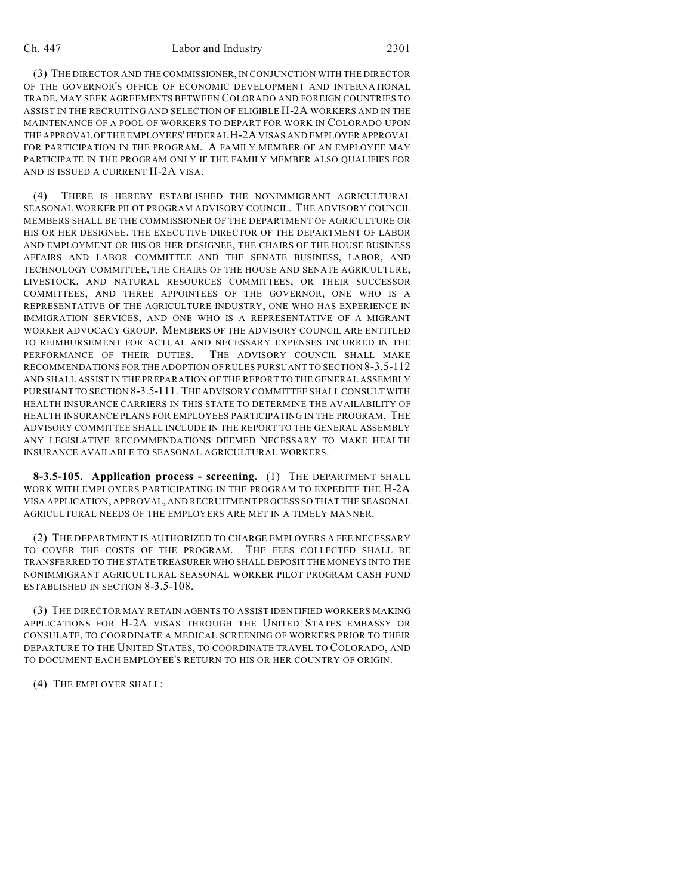#### Ch. 447 Labor and Industry 2301

(3) THE DIRECTOR AND THE COMMISSIONER, IN CONJUNCTION WITH THE DIRECTOR OF THE GOVERNOR'S OFFICE OF ECONOMIC DEVELOPMENT AND INTERNATIONAL TRADE, MAY SEEK AGREEMENTS BETWEEN COLORADO AND FOREIGN COUNTRIES TO ASSIST IN THE RECRUITING AND SELECTION OF ELIGIBLE H-2A WORKERS AND IN THE MAINTENANCE OF A POOL OF WORKERS TO DEPART FOR WORK IN COLORADO UPON THE APPROVAL OF THE EMPLOYEES' FEDERAL H-2A VISAS AND EMPLOYER APPROVAL FOR PARTICIPATION IN THE PROGRAM. A FAMILY MEMBER OF AN EMPLOYEE MAY PARTICIPATE IN THE PROGRAM ONLY IF THE FAMILY MEMBER ALSO QUALIFIES FOR AND IS ISSUED A CURRENT H-2A VISA.

(4) THERE IS HEREBY ESTABLISHED THE NONIMMIGRANT AGRICULTURAL SEASONAL WORKER PILOT PROGRAM ADVISORY COUNCIL. THE ADVISORY COUNCIL MEMBERS SHALL BE THE COMMISSIONER OF THE DEPARTMENT OF AGRICULTURE OR HIS OR HER DESIGNEE, THE EXECUTIVE DIRECTOR OF THE DEPARTMENT OF LABOR AND EMPLOYMENT OR HIS OR HER DESIGNEE, THE CHAIRS OF THE HOUSE BUSINESS AFFAIRS AND LABOR COMMITTEE AND THE SENATE BUSINESS, LABOR, AND TECHNOLOGY COMMITTEE, THE CHAIRS OF THE HOUSE AND SENATE AGRICULTURE, LIVESTOCK, AND NATURAL RESOURCES COMMITTEES, OR THEIR SUCCESSOR COMMITTEES, AND THREE APPOINTEES OF THE GOVERNOR, ONE WHO IS A REPRESENTATIVE OF THE AGRICULTURE INDUSTRY, ONE WHO HAS EXPERIENCE IN IMMIGRATION SERVICES, AND ONE WHO IS A REPRESENTATIVE OF A MIGRANT WORKER ADVOCACY GROUP. MEMBERS OF THE ADVISORY COUNCIL ARE ENTITLED TO REIMBURSEMENT FOR ACTUAL AND NECESSARY EXPENSES INCURRED IN THE PERFORMANCE OF THEIR DUTIES. THE ADVISORY COUNCIL SHALL MAKE RECOMMENDATIONS FOR THE ADOPTION OF RULES PURSUANT TO SECTION 8-3.5-112 AND SHALL ASSIST IN THE PREPARATION OF THE REPORT TO THE GENERAL ASSEMBLY PURSUANT TO SECTION 8-3.5-111. THE ADVISORY COMMITTEE SHALL CONSULT WITH HEALTH INSURANCE CARRIERS IN THIS STATE TO DETERMINE THE AVAILABILITY OF HEALTH INSURANCE PLANS FOR EMPLOYEES PARTICIPATING IN THE PROGRAM. THE ADVISORY COMMITTEE SHALL INCLUDE IN THE REPORT TO THE GENERAL ASSEMBLY ANY LEGISLATIVE RECOMMENDATIONS DEEMED NECESSARY TO MAKE HEALTH INSURANCE AVAILABLE TO SEASONAL AGRICULTURAL WORKERS.

**8-3.5-105. Application process - screening.** (1) THE DEPARTMENT SHALL WORK WITH EMPLOYERS PARTICIPATING IN THE PROGRAM TO EXPEDITE THE H-2A VISA APPLICATION, APPROVAL, AND RECRUITMENT PROCESS SO THAT THE SEASONAL AGRICULTURAL NEEDS OF THE EMPLOYERS ARE MET IN A TIMELY MANNER.

(2) THE DEPARTMENT IS AUTHORIZED TO CHARGE EMPLOYERS A FEE NECESSARY TO COVER THE COSTS OF THE PROGRAM. THE FEES COLLECTED SHALL BE TRANSFERRED TO THE STATE TREASURER WHO SHALL DEPOSIT THE MONEYS INTO THE NONIMMIGRANT AGRICULTURAL SEASONAL WORKER PILOT PROGRAM CASH FUND ESTABLISHED IN SECTION 8-3.5-108.

(3) THE DIRECTOR MAY RETAIN AGENTS TO ASSIST IDENTIFIED WORKERS MAKING APPLICATIONS FOR H-2A VISAS THROUGH THE UNITED STATES EMBASSY OR CONSULATE, TO COORDINATE A MEDICAL SCREENING OF WORKERS PRIOR TO THEIR DEPARTURE TO THE UNITED STATES, TO COORDINATE TRAVEL TO COLORADO, AND TO DOCUMENT EACH EMPLOYEE'S RETURN TO HIS OR HER COUNTRY OF ORIGIN.

(4) THE EMPLOYER SHALL: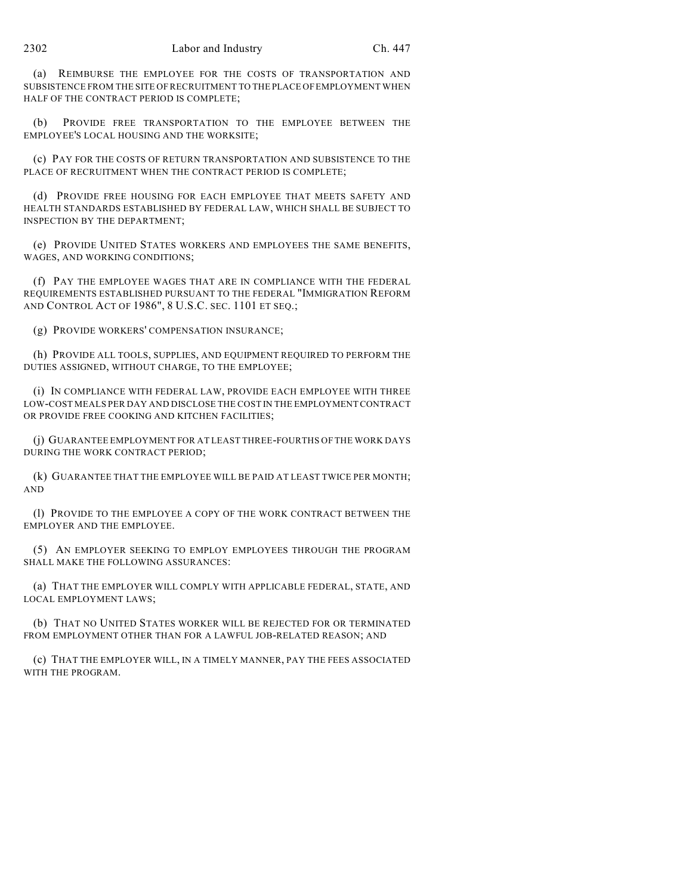(a) REIMBURSE THE EMPLOYEE FOR THE COSTS OF TRANSPORTATION AND SUBSISTENCE FROM THE SITE OF RECRUITMENT TO THE PLACE OF EMPLOYMENT WHEN HALF OF THE CONTRACT PERIOD IS COMPLETE;

(b) PROVIDE FREE TRANSPORTATION TO THE EMPLOYEE BETWEEN THE EMPLOYEE'S LOCAL HOUSING AND THE WORKSITE;

(c) PAY FOR THE COSTS OF RETURN TRANSPORTATION AND SUBSISTENCE TO THE PLACE OF RECRUITMENT WHEN THE CONTRACT PERIOD IS COMPLETE;

(d) PROVIDE FREE HOUSING FOR EACH EMPLOYEE THAT MEETS SAFETY AND HEALTH STANDARDS ESTABLISHED BY FEDERAL LAW, WHICH SHALL BE SUBJECT TO INSPECTION BY THE DEPARTMENT;

(e) PROVIDE UNITED STATES WORKERS AND EMPLOYEES THE SAME BENEFITS, WAGES, AND WORKING CONDITIONS;

(f) PAY THE EMPLOYEE WAGES THAT ARE IN COMPLIANCE WITH THE FEDERAL REQUIREMENTS ESTABLISHED PURSUANT TO THE FEDERAL "IMMIGRATION REFORM AND CONTROL ACT OF 1986", 8 U.S.C. SEC. 1101 ET SEQ.;

(g) PROVIDE WORKERS' COMPENSATION INSURANCE;

(h) PROVIDE ALL TOOLS, SUPPLIES, AND EQUIPMENT REQUIRED TO PERFORM THE DUTIES ASSIGNED, WITHOUT CHARGE, TO THE EMPLOYEE;

(i) IN COMPLIANCE WITH FEDERAL LAW, PROVIDE EACH EMPLOYEE WITH THREE LOW-COST MEALS PER DAY AND DISCLOSE THE COST IN THE EMPLOYMENT CONTRACT OR PROVIDE FREE COOKING AND KITCHEN FACILITIES;

(j) GUARANTEE EMPLOYMENT FOR AT LEAST THREE-FOURTHS OF THE WORK DAYS DURING THE WORK CONTRACT PERIOD;

(k) GUARANTEE THAT THE EMPLOYEE WILL BE PAID AT LEAST TWICE PER MONTH; AND

(l) PROVIDE TO THE EMPLOYEE A COPY OF THE WORK CONTRACT BETWEEN THE EMPLOYER AND THE EMPLOYEE.

(5) AN EMPLOYER SEEKING TO EMPLOY EMPLOYEES THROUGH THE PROGRAM SHALL MAKE THE FOLLOWING ASSURANCES:

(a) THAT THE EMPLOYER WILL COMPLY WITH APPLICABLE FEDERAL, STATE, AND LOCAL EMPLOYMENT LAWS;

(b) THAT NO UNITED STATES WORKER WILL BE REJECTED FOR OR TERMINATED FROM EMPLOYMENT OTHER THAN FOR A LAWFUL JOB-RELATED REASON; AND

(c) THAT THE EMPLOYER WILL, IN A TIMELY MANNER, PAY THE FEES ASSOCIATED WITH THE PROGRAM.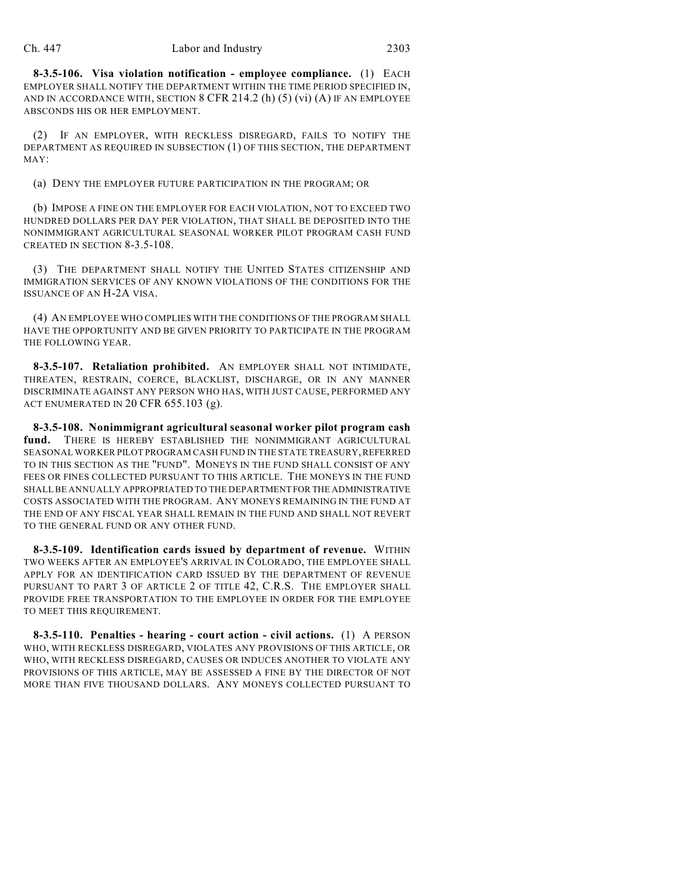**8-3.5-106. Visa violation notification - employee compliance.** (1) EACH EMPLOYER SHALL NOTIFY THE DEPARTMENT WITHIN THE TIME PERIOD SPECIFIED IN, AND IN ACCORDANCE WITH, SECTION  $8$  CFR 214.2 (h) (5) (vi) (A) IF AN EMPLOYEE ABSCONDS HIS OR HER EMPLOYMENT.

(2) IF AN EMPLOYER, WITH RECKLESS DISREGARD, FAILS TO NOTIFY THE DEPARTMENT AS REQUIRED IN SUBSECTION (1) OF THIS SECTION, THE DEPARTMENT MAY:

(a) DENY THE EMPLOYER FUTURE PARTICIPATION IN THE PROGRAM; OR

(b) IMPOSE A FINE ON THE EMPLOYER FOR EACH VIOLATION, NOT TO EXCEED TWO HUNDRED DOLLARS PER DAY PER VIOLATION, THAT SHALL BE DEPOSITED INTO THE NONIMMIGRANT AGRICULTURAL SEASONAL WORKER PILOT PROGRAM CASH FUND CREATED IN SECTION 8-3.5-108.

(3) THE DEPARTMENT SHALL NOTIFY THE UNITED STATES CITIZENSHIP AND IMMIGRATION SERVICES OF ANY KNOWN VIOLATIONS OF THE CONDITIONS FOR THE ISSUANCE OF AN H-2A VISA.

(4) AN EMPLOYEE WHO COMPLIES WITH THE CONDITIONS OF THE PROGRAM SHALL HAVE THE OPPORTUNITY AND BE GIVEN PRIORITY TO PARTICIPATE IN THE PROGRAM THE FOLLOWING YEAR.

**8-3.5-107. Retaliation prohibited.** AN EMPLOYER SHALL NOT INTIMIDATE, THREATEN, RESTRAIN, COERCE, BLACKLIST, DISCHARGE, OR IN ANY MANNER DISCRIMINATE AGAINST ANY PERSON WHO HAS, WITH JUST CAUSE, PERFORMED ANY ACT ENUMERATED IN 20 CFR 655.103 (g).

**8-3.5-108. Nonimmigrant agricultural seasonal worker pilot program cash** fund. THERE IS HEREBY ESTABLISHED THE NONIMMIGRANT AGRICULTURAL SEASONAL WORKER PILOT PROGRAM CASH FUND IN THE STATE TREASURY, REFERRED TO IN THIS SECTION AS THE "FUND". MONEYS IN THE FUND SHALL CONSIST OF ANY FEES OR FINES COLLECTED PURSUANT TO THIS ARTICLE. THE MONEYS IN THE FUND SHALL BE ANNUALLY APPROPRIATED TO THE DEPARTMENT FOR THE ADMINISTRATIVE COSTS ASSOCIATED WITH THE PROGRAM. ANY MONEYS REMAINING IN THE FUND AT THE END OF ANY FISCAL YEAR SHALL REMAIN IN THE FUND AND SHALL NOT REVERT TO THE GENERAL FUND OR ANY OTHER FUND.

**8-3.5-109. Identification cards issued by department of revenue.** WITHIN TWO WEEKS AFTER AN EMPLOYEE'S ARRIVAL IN COLORADO, THE EMPLOYEE SHALL APPLY FOR AN IDENTIFICATION CARD ISSUED BY THE DEPARTMENT OF REVENUE PURSUANT TO PART 3 OF ARTICLE 2 OF TITLE 42, C.R.S. THE EMPLOYER SHALL PROVIDE FREE TRANSPORTATION TO THE EMPLOYEE IN ORDER FOR THE EMPLOYEE TO MEET THIS REQUIREMENT.

**8-3.5-110. Penalties - hearing - court action - civil actions.** (1) A PERSON WHO, WITH RECKLESS DISREGARD, VIOLATES ANY PROVISIONS OF THIS ARTICLE, OR WHO, WITH RECKLESS DISREGARD, CAUSES OR INDUCES ANOTHER TO VIOLATE ANY PROVISIONS OF THIS ARTICLE, MAY BE ASSESSED A FINE BY THE DIRECTOR OF NOT MORE THAN FIVE THOUSAND DOLLARS. ANY MONEYS COLLECTED PURSUANT TO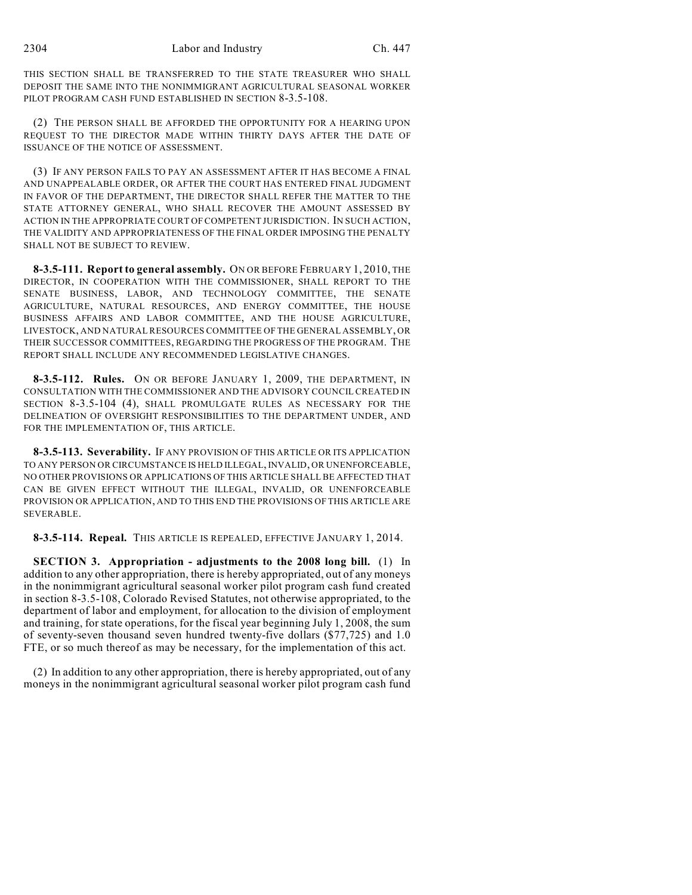THIS SECTION SHALL BE TRANSFERRED TO THE STATE TREASURER WHO SHALL DEPOSIT THE SAME INTO THE NONIMMIGRANT AGRICULTURAL SEASONAL WORKER PILOT PROGRAM CASH FUND ESTABLISHED IN SECTION 8-3.5-108.

(2) THE PERSON SHALL BE AFFORDED THE OPPORTUNITY FOR A HEARING UPON REQUEST TO THE DIRECTOR MADE WITHIN THIRTY DAYS AFTER THE DATE OF ISSUANCE OF THE NOTICE OF ASSESSMENT.

(3) IF ANY PERSON FAILS TO PAY AN ASSESSMENT AFTER IT HAS BECOME A FINAL AND UNAPPEALABLE ORDER, OR AFTER THE COURT HAS ENTERED FINAL JUDGMENT IN FAVOR OF THE DEPARTMENT, THE DIRECTOR SHALL REFER THE MATTER TO THE STATE ATTORNEY GENERAL, WHO SHALL RECOVER THE AMOUNT ASSESSED BY ACTION IN THE APPROPRIATE COURT OF COMPETENT JURISDICTION. IN SUCH ACTION, THE VALIDITY AND APPROPRIATENESS OF THE FINAL ORDER IMPOSING THE PENALTY SHALL NOT BE SUBJECT TO REVIEW.

**8-3.5-111. Report to general assembly.** ON OR BEFORE FEBRUARY 1, 2010, THE DIRECTOR, IN COOPERATION WITH THE COMMISSIONER, SHALL REPORT TO THE SENATE BUSINESS, LABOR, AND TECHNOLOGY COMMITTEE, THE SENATE AGRICULTURE, NATURAL RESOURCES, AND ENERGY COMMITTEE, THE HOUSE BUSINESS AFFAIRS AND LABOR COMMITTEE, AND THE HOUSE AGRICULTURE, LIVESTOCK, AND NATURAL RESOURCES COMMITTEE OF THE GENERAL ASSEMBLY, OR THEIR SUCCESSOR COMMITTEES, REGARDING THE PROGRESS OF THE PROGRAM. THE REPORT SHALL INCLUDE ANY RECOMMENDED LEGISLATIVE CHANGES.

**8-3.5-112. Rules.** ON OR BEFORE JANUARY 1, 2009, THE DEPARTMENT, IN CONSULTATION WITH THE COMMISSIONER AND THE ADVISORY COUNCIL CREATED IN SECTION 8-3.5-104 (4), SHALL PROMULGATE RULES AS NECESSARY FOR THE DELINEATION OF OVERSIGHT RESPONSIBILITIES TO THE DEPARTMENT UNDER, AND FOR THE IMPLEMENTATION OF, THIS ARTICLE.

**8-3.5-113. Severability.** IF ANY PROVISION OF THIS ARTICLE OR ITS APPLICATION TO ANY PERSON OR CIRCUMSTANCE IS HELD ILLEGAL, INVALID, OR UNENFORCEABLE, NO OTHER PROVISIONS OR APPLICATIONS OF THIS ARTICLE SHALL BE AFFECTED THAT CAN BE GIVEN EFFECT WITHOUT THE ILLEGAL, INVALID, OR UNENFORCEABLE PROVISION OR APPLICATION, AND TO THIS END THE PROVISIONS OF THIS ARTICLE ARE SEVERABLE.

**8-3.5-114. Repeal.** THIS ARTICLE IS REPEALED, EFFECTIVE JANUARY 1, 2014.

**SECTION 3. Appropriation - adjustments to the 2008 long bill.** (1) In addition to any other appropriation, there is hereby appropriated, out of any moneys in the nonimmigrant agricultural seasonal worker pilot program cash fund created in section 8-3.5-108, Colorado Revised Statutes, not otherwise appropriated, to the department of labor and employment, for allocation to the division of employment and training, for state operations, for the fiscal year beginning July 1, 2008, the sum of seventy-seven thousand seven hundred twenty-five dollars (\$77,725) and 1.0 FTE, or so much thereof as may be necessary, for the implementation of this act.

(2) In addition to any other appropriation, there is hereby appropriated, out of any moneys in the nonimmigrant agricultural seasonal worker pilot program cash fund